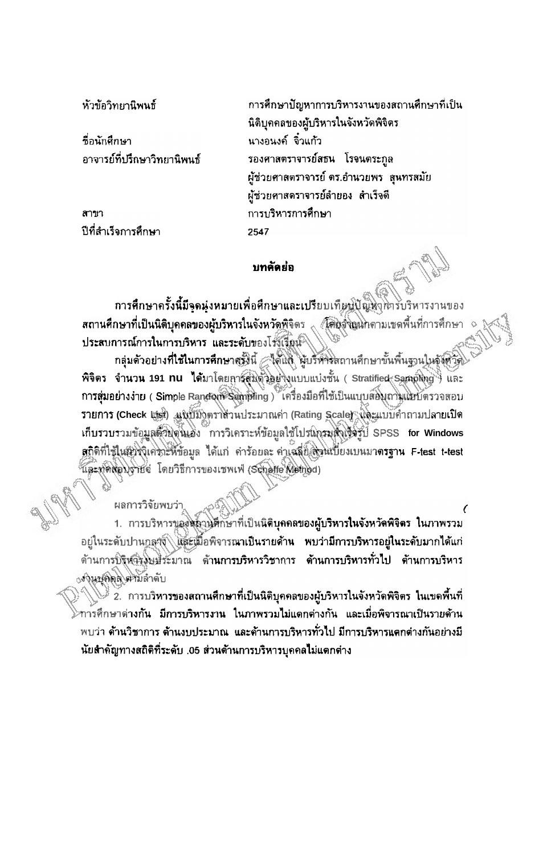หัวข้อวิทยานิพนธ์

ชื่อนักศึกษา อาจารย์ที่ปรึกษาวิทยานิพนธ์

สาขา ปีที่สำเร็จการศึกษา

การศึกษาปัญหาการบริหารงานของสถานศึกษาที่เป็น นิติบุคคลของผู้บริหารในจังหวัดพิจิตร ้นางอนงค์ จิ๋วแก้ว รองศาสตราจารย์สธน โรจนตระกูล ผู้ช่วยศาสตราจารย์ ดร.อำนวยพร สุนทรสมัย ผู้ช่วยคาสดราจารย์ลำยอง สำเร็จดี การบริหารการศึกษา 2547

## บทคัดย่อ

การศึกษาครั้งนี้มีจุดนุ่งหมายเพื่อศึกษาและเปรียบเทียบปัญหาพารบริหารงานของ สถา**นศึกษาที่เป็นนิติบุคคลของผู้บริหารในจังหวัดพิจิตร (ผู้ดินุจังผู**นกดามเขตพื้นที่การศึกษา ประสบการณ์การในการบริหาร และระดับของโร้งเรียน

กลุ่มด้วอย่างที่ใช้ในการศึกษาสู่ซึมนี้ Anua ผู้บริหารสถานศึกษาขั้นพื้นฐานในจังหวัด พิจิตร จำนวน 191 nu ได้มาโดยการสมตัวอยู่งุ่งแบบแบ่งชั้น (Stratified Samping) และ การสุ่มอย่างง่าย ( Simple Random Sampling ) ไครื่องมือที่ใช้เป็นแบบสอบถามแชบดรวจสอบ รายการ (Check ผู้นั่น) แพบมิงตราสานประมาณค่า (Rating Scale) เหละแบบคำถามปลายเปิด เก็บรวบรวมข้อมูลตัวยุตินเอง การวิเคราะห์ข้อมูลใช้โปรแกรมตั้งเริงรู้ปี SPSS for Windows สถิติที่ใช้ในชีวิจิเคิราะห์ข้อมูล ได้แก่ คำร้อยละ ค่าเฉลี่ยุดิจนเบี่ยงเบนมาตรฐาน F-test t-test และทำต้อบรายจ่ โดยวิธีการของเซพเฟ่ (Schaffe Method)

1. การบริหารของสถานศึกษาที่เป็นนิติบุคคลของผู้บริหารในจังหวัดพิจิตร ในภาพรวม อยู่ในระดับปานกูลาง และเมื่อพิจารณาเป็นรายด้า**น พบว่ามีการบริหารอยู่ในระดับมากได้แ**ก่ ด้านการปริหารงบฮิระมาณ ด้านการบริหารวิชาการ ด้านการบริหารทั่วไป ด้านการบริหาร <sub>่</sub> สำนบคิดดี ด้ามลำดับ

<u>ะ 2. การบริหารของสถานศึกษาที่เป็นนิติบุคคลของผู้บริหารในจังหวัดพิจิตร ในเขดพื้นที่</u> การศึกษาด่างกัน มีการบริหารงาน ในภาพรวมไม่แดกด่างกัน และเมื่อพิจารณาเป็นรายด้าน พบว่า ด้านวิชาการ ต้านงบประมาณ และด้านการบริหารทั่วไป มีการบริหารแตกต่างกันอย่างมี นัยสำคัญทางสถิติที่ระดับ .05 ส่วนต้านการบริหารบุคคลไม่แตกต่าง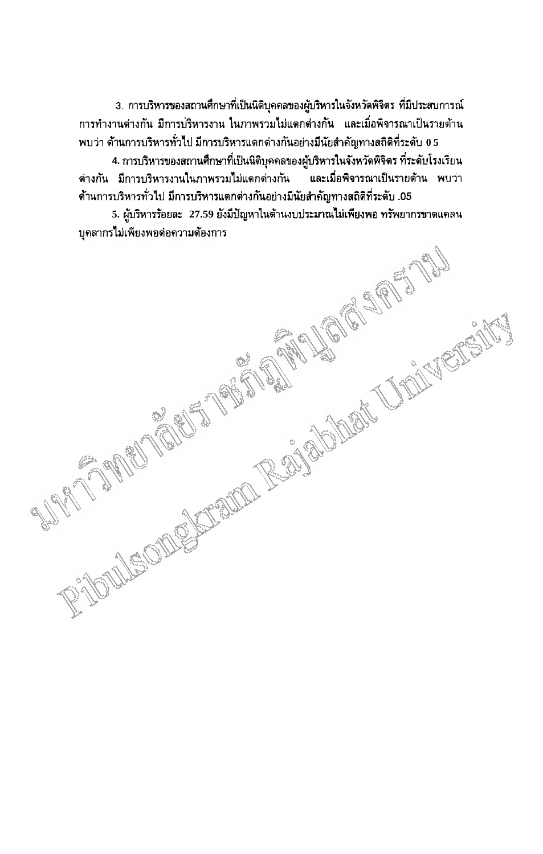3. การบริหารของสถานศึกษาที่เป็นนิติบุคคลของผู้บริหารในจังหวัดพิจิตร ที่มีประสบการณ์ ิการทำงานต่างกัน มีการบริหารงาน ในภาพรวมไม่แตกต่างกัน และเมื่อพิจารณาเป็นรายด้าน พบว่า ด้านการบริหารทั่วไป มีการบริหารแตกต่างกันอย่างมีนัยสำคัญทางสถิติที่ระดับ 0.5

4. การบริหารของสถานศึกษาที่เป็นนิติบุคคลของผู้บริหารในจังหวัดพิจิตร ที่ระดับโรงเรียน ี่ต่างกัน มีการบริหารงานในภาพรวมไม่แตกต่างกัน และเมื่อพิจารณาเป็นรายด้าน พบว่า ด้านการบริหารทั่วไป มีการบริหารแตกต่างกันอย่างมีนัยสำคัญทางสถิติที่ระดับ .05.

RIVEORECALE FOR REAL PROPERTY AND CONTROL CONTROLLER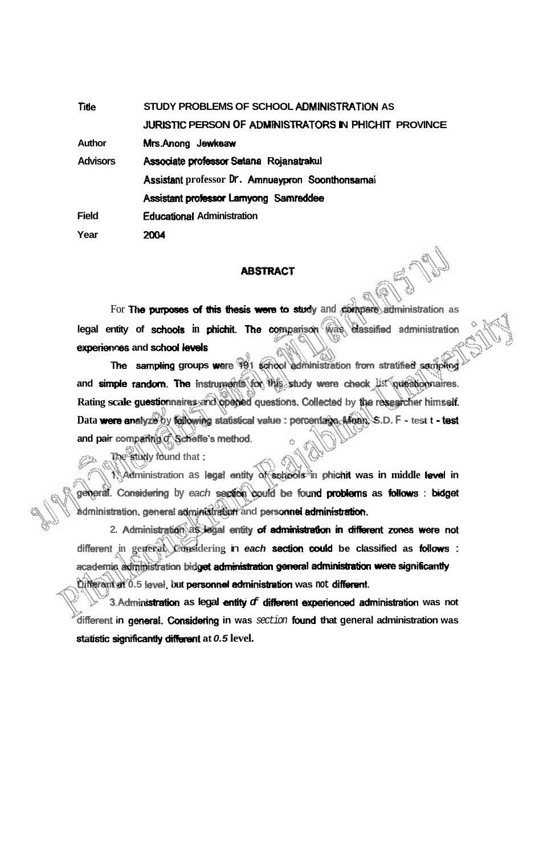**Title** STUDY PROBLEMS OF SCHOOL ADMINISTRATION AS JURISTIC PERSON OF ADMINISTRATORS IN PHICHIT PROVINCE Mrs.Anong Jewkeaw **Author Advisors** Associate professor Satana Rojanatrakul Assistant professor Dr. Amnuaypron Soonthonsamai Assistant professor Lamyong Samreddee **Educational Administration Field** 2004 Year

## **ABSTRACT**

For The purposes of this thesis were to study and compare administration as legal entity of schools in phichit. The comparison was classified administration experiences and school levels

The sampling groups were 491 school administration from stratified sampling and simple random. The instruments for this study were check list questionnaires. Rating scale guestionnaires, and opened questions. Collected by the researcher himself. Data were analyze by following statistical value : percentage. Mean. S.D. F - test t - test and pair comparing c Scheffe's method.

The study found that:

Administration as legal entity of actiobis in phichit was in middle level in general. Considering by each section could be found problems as follows : bidget administration, general administration and personnel administration.

2. Administration as legal entity of administration in different zones were not different in general. Considering in each section could be classified as follows : academic administration bidget administration general administration were significantly Different at 0.5 level, but personnel administration was not different.

3. Administration as legal entity of different experienced administration was not different in general. Considering in was section found that general administration was statistic significantly different at 0.5 level.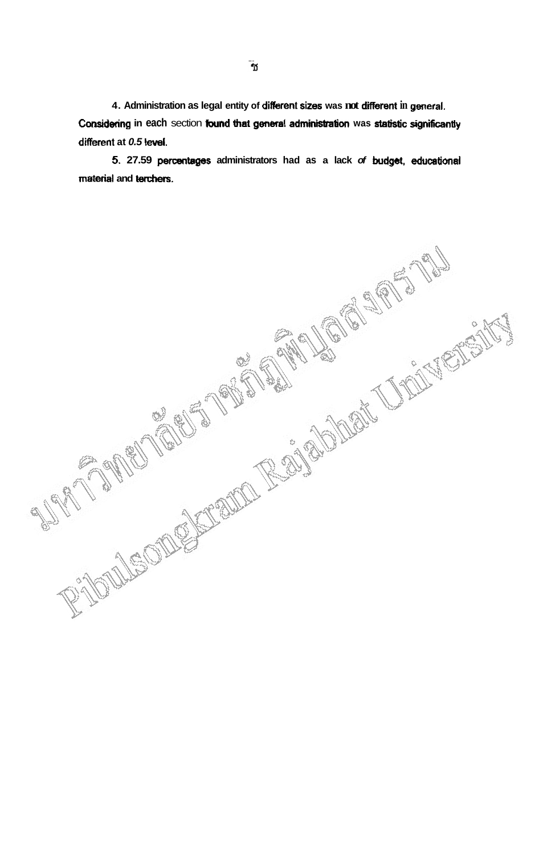4. Administration as legal entity of different sizes was not different in general. Considering in each section found that general administration was statistic significantly different at 0.5 level.

5. 27.59 percentages administrators had as a lack of budget, educational material and terchers.

RICOLLECTIONS CONTAINS ROLLED AND CONTACT OF THE RESISTENCE OF